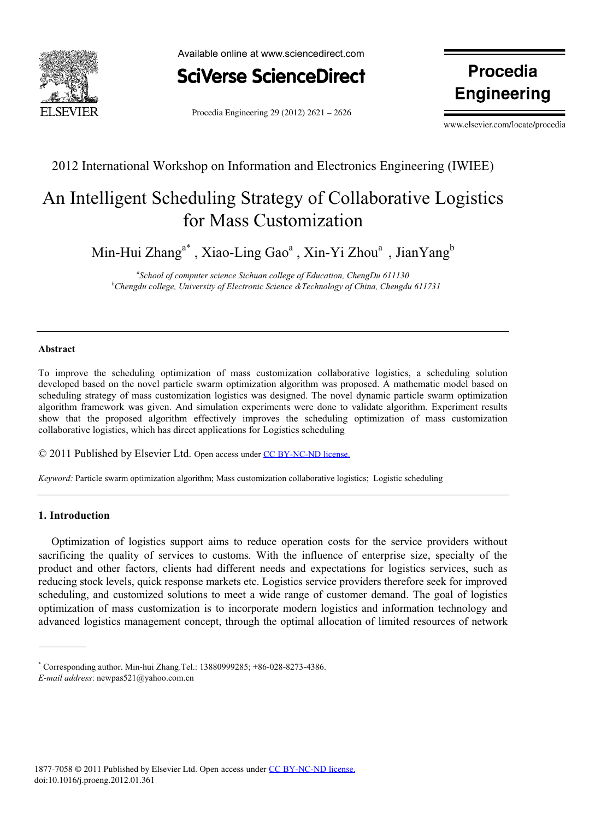

Available online at www.sciencedirect.com



Procedia Engineering 29 (2012)  $2621 - 2626$ 

**Procedia Engineering**

www.elsevier.com/locate/procedia

## 2012 International Workshop on Information and Electronics Engineering (IWIEE)

# An Intelligent Scheduling Strategy of Collaborative Logistics for Mass Customization

Min-Hui Zhang $^{\mathrm{a}^\ast}$  , Xiao-Ling Gao $^{\mathrm{a}}$  , Xin-Yi Zhou $^{\mathrm{a}}$  , JianYang $^{\mathrm{b}}$ 

<sup>a</sup> School of computer science Sichuan college of Education, ChengDu 611130<sup>b</sup><br><sup>b</sup>Changdu college University of Electronic Science &Technology of China, Changdu *Chengdu college, University of Electronic Science &Technology of China, Chengdu 611731* 

### **Abstract**

To improve the scheduling optimization of mass customization collaborative logistics, a scheduling solution developed based on the novel particle swarm optimization algorithm was proposed. A mathematic model based on scheduling strategy of mass customization logistics was designed. The novel dynamic particle swarm optimization algorithm framework was given. And simulation experiments were done to validate algorithm. Experiment results show that the proposed algorithm effectively improves the scheduling optimization of mass customization collaborative logistics, which has direct applications for Logistics scheduling

© 2011 Published by Elsevier Ltd. Open access under [CC BY-NC-ND license.](http://creativecommons.org/licenses/by-nc-nd/3.0/)

*Keyword:* Particle swarm optimization algorithm; Mass customization collaborative logistics; Logistic scheduling

### **1. Introduction**

Optimization of logistics support aims to reduce operation costs for the service providers without sacrificing the quality of services to customs. With the influence of enterprise size, specialty of the product and other factors, clients had different needs and expectations for logistics services, such as reducing stock levels, quick response markets etc. Logistics service providers therefore seek for improved scheduling, and customized solutions to meet a wide range of customer demand. The goal of logistics optimization of mass customization is to incorporate modern logistics and information technology and advanced logistics management concept, through the optimal allocation of limited resources of network

<sup>\*</sup> Corresponding author. Min-hui Zhang.Tel.: 13880999285; +86-028-8273-4386. *E-mail address*: newpas521@yahoo.com.cn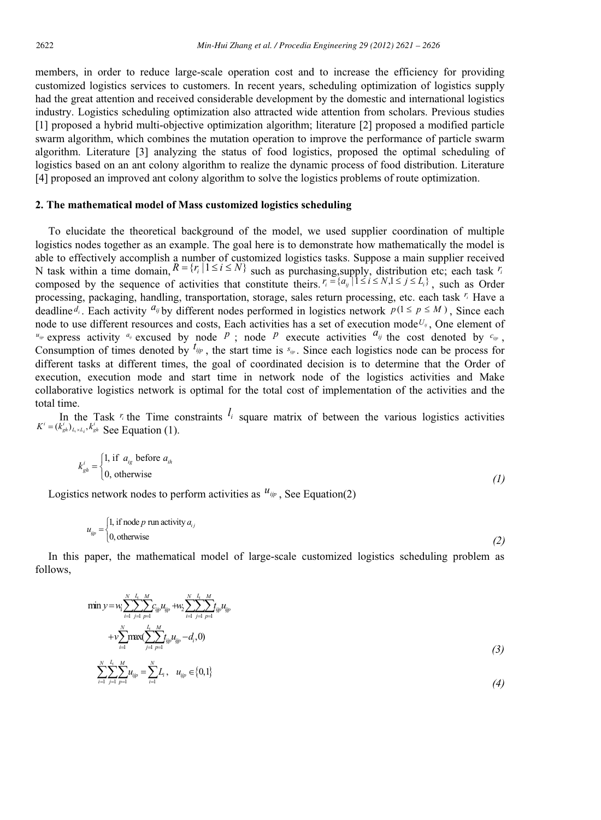members, in order to reduce large-scale operation cost and to increase the efficiency for providing customized logistics services to customers. In recent years, scheduling optimization of logistics supply had the great attention and received considerable development by the domestic and international logistics industry. Logistics scheduling optimization also attracted wide attention from scholars. Previous studies [1] proposed a hybrid multi-objective optimization algorithm; literature [2] proposed a modified particle swarm algorithm, which combines the mutation operation to improve the performance of particle swarm algorithm. Literature [3] analyzing the status of food logistics, proposed the optimal scheduling of logistics based on an ant colony algorithm to realize the dynamic process of food distribution. Literature [4] proposed an improved ant colony algorithm to solve the logistics problems of route optimization.

### **2. The mathematical model of Mass customized logistics scheduling**

To elucidate the theoretical background of the model, we used supplier coordination of multiple logistics nodes together as an example. The goal here is to demonstrate how mathematically the model is able to effectively accomplish a number of customized logistics tasks. Suppose a main supplier received N task within a time domain,  $R = {r_i | 1 \le i \le N}$  such as purchasing,supply, distribution etc; each task  $r_i$ composed by the sequence of activities that constitute theirs.  $r_i = \{a_{ij} \mid 1 \le i \le N, 1 \le j \le L_i\}$ , such as Order processing, packaging, handling, transportation, storage, sales return processing, etc. each task *ir* Have a deadline *d<sub>i</sub>*. Each activity  $a_{ij}$  by different nodes performed in logistics network  $p(1 \le p \le M)$ , Since each node to use different resources and costs, Each activities has a set of execution mode<sup> $U_{ij}$ </sup>, One element of  $u_{ijp}$  express activity  $a_{ij}$  excused by node P ; node P execute activities  $a_{ij}$  the cost denoted by  $c_{ijp}$ , Consumption of times denoted by  $^{t_{ijp}}$ , the start time is  $s_{ip}$ . Since each logistics node can be process for different tasks at different times, the goal of coordinated decision is to determine that the Order of execution, execution mode and start time in network node of the logistics activities and Make collaborative logistics network is optimal for the total cost of implementation of the activities and the total time.

In the Task  $\eta$  the Time constraints  $\ell_i$  square matrix of between the various logistics activities  $K^i = (k_{gh}^i)_{L_i \times L_i}, k_{gh}^i$  See Equation (1).

$$
k_{gh}^{i} = \begin{cases} 1, & \text{if } a_{ig} \text{ before } a_{ih} \\ 0, & \text{otherwise} \end{cases} \tag{1}
$$

Logistics network nodes to perform activities as  $u_{ijp}$ , See Equation(2)

$$
u_{ijp} = \begin{cases} 1, & \text{if node } p \text{ run activity } a_{ij} \\ 0, & \text{otherwise} \end{cases}
$$
 (2)

In this paper, the mathematical model of large-scale customized logistics scheduling problem as follows,

$$
\min y = w_i \sum_{i=1}^{N} \sum_{j=1}^{L_i} \sum_{p=1}^{M} c_{ijp} u_{ijp} + w_2 \sum_{i=1}^{N} \sum_{j=1}^{L_i} \sum_{p=1}^{M} t_{ijp} u_{ijp} + v \sum_{i=1}^{N} \sum_{j=1}^{L_i} \sum_{p=1}^{M} t_{ijp} u_{ijp} - d_i, 0)
$$
\n
$$
(3)
$$

$$
\sum_{i=1}^{n} \sum_{j=1}^{n} \sum_{p=1}^{n} u_{ijp} = \sum_{i=1}^{n} L_i, \quad u_{ijp} \in \{0, 1\}
$$
\n
$$
(4)
$$